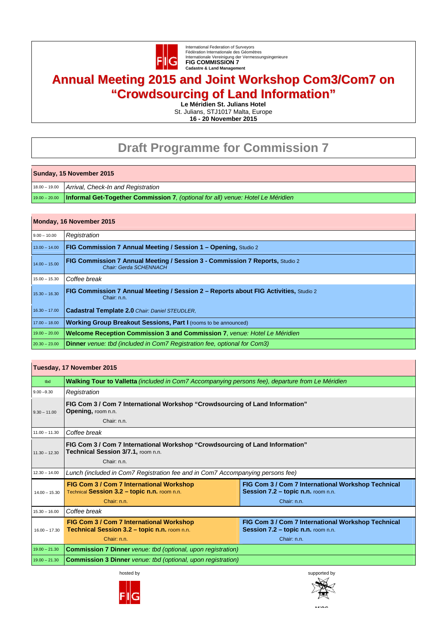

International Federation of Surveyors Fèdèration Internationale des Géomètres Internationale Vereinigung der Vermessungsingenieure **FIG COMMISSION 7 Cadastre & Land Management** 

## **Annual Meeting 2015 and Joint Workshop Com3/Com7 on "Crowdsourcing of Land Information"**

**Le Méridien St. Julians Hotel** 

St. Julians, STJ1017 Malta, Europe **16 - 20 November 2015**

## **Draft Programme for Commission 7**

## **Sunday, 15 November 2015**

18.00 – 19.00 *Arrival, Check-In and Registration* 

19.00 – 20.00 **Informal Get-Together Commission 7***, (optional for all) venue: Hotel Le Méridien*

## **Monday, 16 November 2015**

| $9.00 - 10.00$  | Registration                                                                                                  |
|-----------------|---------------------------------------------------------------------------------------------------------------|
| $13.00 - 14.00$ | <b>FIG Commission 7 Annual Meeting / Session 1 - Opening, Studio 2</b>                                        |
| $14.00 - 15.00$ | <b>FIG Commission 7 Annual Meeting / Session 3 - Commission 7 Reports, Studio 2</b><br>Chair: Gerda SCHENNACH |
| $15.00 - 15.30$ | Coffee break                                                                                                  |
| $15.30 - 16.30$ | FIG Commission 7 Annual Meeting / Session 2 - Reports about FIG Activities, Studio 2<br>Chair: n.n.           |
| $16.30 - 17.00$ | <b>Cadastral Template 2.0 Chair: Daniel STEUDLER.</b>                                                         |
| $17.00 - 18.00$ | <b>Working Group Breakout Sessions, Part I (rooms to be announced)</b>                                        |
| $19.00 - 20.00$ | <b>Welcome Reception Commission 3 and Commission 7. venue: Hotel Le Méridien</b>                              |
| $20.30 - 23.00$ | <b>Dinner</b> venue: tbd (included in Com7 Registration fee, optional for Com3)                               |

| Tuesday, 17 November 2015 |                                                                                                                                   |                                                                                                         |  |  |
|---------------------------|-----------------------------------------------------------------------------------------------------------------------------------|---------------------------------------------------------------------------------------------------------|--|--|
| tbd                       | Walking Tour to Valletta (included in Com7 Accompanying persons fee), departure from Le Méridien                                  |                                                                                                         |  |  |
| $9.00 - 9.30$             | Registration                                                                                                                      |                                                                                                         |  |  |
| $9.30 - 11.00$            | FIG Com 3 / Com 7 International Workshop "Crowdsourcing of Land Information"<br><b>Opening, room n.n.</b><br>Chair: n.n.          |                                                                                                         |  |  |
| $11.00 - 11.30$           | Coffee break                                                                                                                      |                                                                                                         |  |  |
| $11.30 - 12.30$           | FIG Com 3 / Com 7 International Workshop "Crowdsourcing of Land Information"<br>Technical Session 3/7.1, room n.n.<br>Chair: n.n. |                                                                                                         |  |  |
| $12.30 - 14.00$           | Lunch (included in Com7 Registration fee and in Com7 Accompanying persons fee)                                                    |                                                                                                         |  |  |
| $14.00 - 15.30$           | FIG Com 3 / Com 7 International Workshop<br>Technical Session 3.2 - topic n.n. room n.n.<br>Chair: n.n.                           | FIG Com 3 / Com 7 International Workshop Technical<br>Session 7.2 - topic n.n. room n.n.<br>Chair: n.n. |  |  |
| $15.30 - 16.00$           | Coffee break                                                                                                                      |                                                                                                         |  |  |
| $16.00 - 17.30$           | FIG Com 3 / Com 7 International Workshop<br>Technical Session 3.2 - topic n.n. room n.n.<br>Chair: n.n.                           | FIG Com 3 / Com 7 International Workshop Technical<br>Session 7.2 - topic n.n. room n.n.<br>Chair: n.n. |  |  |
| $19.00 - 21.30$           | <b>Commission 7 Dinner</b> venue: tbd (optional, upon registration)                                                               |                                                                                                         |  |  |
| $19.00 - 21.30$           | <b>Commission 3 Dinner</b> venue: tbd (optional, upon registration)                                                               |                                                                                                         |  |  |





**MiOS**